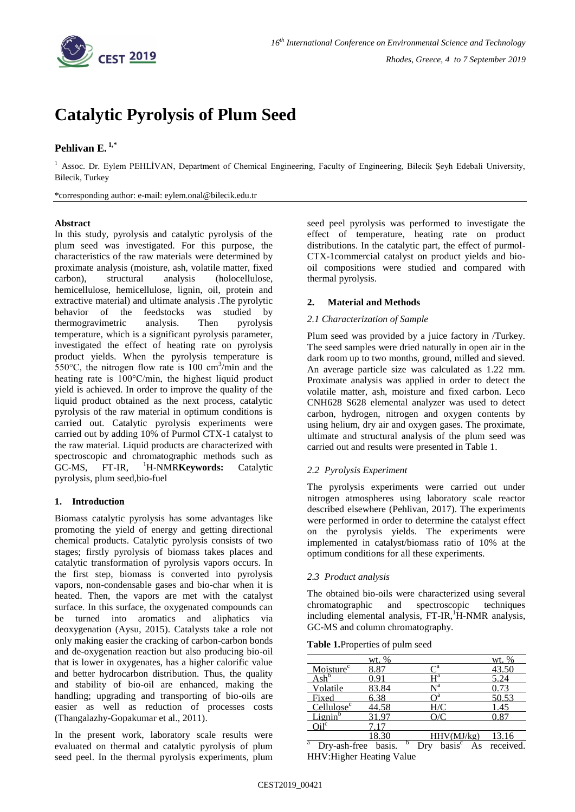

# **[Catalytic Pyrolysis of](https://cms.gnest.org/node/5237) Plum Seed**

# **Pehlivan E. 1,\***

<sup>1</sup> Assoc. Dr. Eylem PEHLİVAN, Department of Chemical Engineering, Faculty of Engineering, Bilecik Şeyh Edebali University, Bilecik, Turkey

\*corresponding author: e-mail: eylem.onal@bilecik.edu.tr

## **Abstract**

In this study, pyrolysis and catalytic pyrolysis of the plum seed was investigated. For this purpose, the characteristics of the raw materials were determined by proximate analysis (moisture, ash, volatile matter, fixed carbon), structural analysis (holocellulose, hemicellulose, hemicellulose, lignin, oil, protein and extractive material) and ultimate analysis .The pyrolytic behavior of the feedstocks was studied by thermogravimetric analysis. Then pyrolysis temperature, which is a significant pyrolysis parameter, investigated the effect of heating rate on pyrolysis product yields. When the pyrolysis temperature is 550 $^{\circ}$ C, the nitrogen flow rate is 100 cm<sup>3</sup>/min and the heating rate is 100°C/min, the highest liquid product yield is achieved. In order to improve the quality of the liquid product obtained as the next process, catalytic pyrolysis of the raw material in optimum conditions is carried out. Catalytic pyrolysis experiments were carried out by adding 10% of Purmol CTX-1 catalyst to the raw material. Liquid products are characterized with spectroscopic and chromatographic methods such as GC-MS, FT-IR, <sup>1</sup>H-NMR**Keywords:** Catalytic pyrolysis, plum seed,bio-fuel

# **1. Introduction**

Biomass catalytic pyrolysis has some advantages like promoting the yield of energy and getting directional chemical products. Catalytic pyrolysis consists of two stages; firstly pyrolysis of biomass takes places and catalytic transformation of pyrolysis vapors occurs. In the first step, biomass is converted into pyrolysis vapors, non-condensable gases and bio-char when it is heated. Then, the vapors are met with the catalyst surface. In this surface, the oxygenated compounds can be turned into aromatics and aliphatics via deoxygenation (Aysu, 2015). Catalysts take a role not only making easier the cracking of carbon-carbon bonds and de-oxygenation reaction but also producing bio-oil that is lower in oxygenates, has a higher calorific value and better hydrocarbon distribution. Thus, the quality and stability of bio-oil are enhanced, making the handling; upgrading and transporting of bio-oils are easier as well as reduction of processes costs (Thangalazhy-Gopakumar et al., 2011).

In the present work, laboratory scale results were evaluated on thermal and catalytic pyrolysis of plum seed peel. In the thermal pyrolysis experiments, plum seed peel pyrolysis was performed to investigate the effect of temperature, heating rate on product distributions. In the catalytic part, the effect of purmol-CTX-1commercial catalyst on product yields and biooil compositions were studied and compared with thermal pyrolysis.

# **2. Material and Methods**

## *2.1 Characterization of Sample*

Plum seed was provided by a juice factory in /Turkey. The seed samples were dried naturally in open air in the dark room up to two months, ground, milled and sieved. An average particle size was calculated as 1.22 mm. Proximate analysis was applied in order to detect the volatile matter, ash, moisture and fixed carbon. Leco CNH628 S628 elemental analyzer was used to detect carbon, hydrogen, nitrogen and oxygen contents by using helium, dry air and oxygen gases. The proximate, ultimate and structural analysis of the plum seed was carried out and results were presented in Table 1.

# *2.2 Pyrolysis Experiment*

The pyrolysis experiments were carried out under nitrogen atmospheres using laboratory scale reactor described elsewhere (Pehlivan, 2017). The experiments were performed in order to determine the catalyst effect on the pyrolysis yields. The experiments were implemented in catalyst/biomass ratio of 10% at the optimum conditions for all these experiments.

## *2.3 Product analysis*

The obtained bio-oils were characterized using several chromatographic and spectroscopic techniques including elemental analysis,  $FT-IR$ , $^1H-NMR$  analysis, GC-MS and column chromatography.

|  | Table 1. Properties of pulm seed |  |  |
|--|----------------------------------|--|--|
|--|----------------------------------|--|--|

|                                | wt. % |                  | <u>wt. %</u> |
|--------------------------------|-------|------------------|--------------|
| Moisture <sup>c</sup>          | 8.87  | ٦a               | 43.50        |
| $\mathbf{Ash}^{\mathsf{b}}$    |       | ⊣а               | 5.24         |
| Volatile                       | 83.84 | ⊾та              | 0.73         |
| Fixed                          | 6.38  |                  | 50.53        |
| Cellulose <sup>c</sup>         | 44.58 | H/C              | .45          |
| $\mathsf{Lipnin}^{\mathsf{b}}$ | 31.97 | $\gamma_C$       |              |
| $(ji)^{1c}$                    |       |                  |              |
|                                |       | HHV(MJ/kg)<br>1. |              |

Dry-ash-fi b HHV:Higher Heating Value<sup>a</sup> Dry-ash-free basis. <sup>b</sup> Dry basis<sup>c</sup> As received.